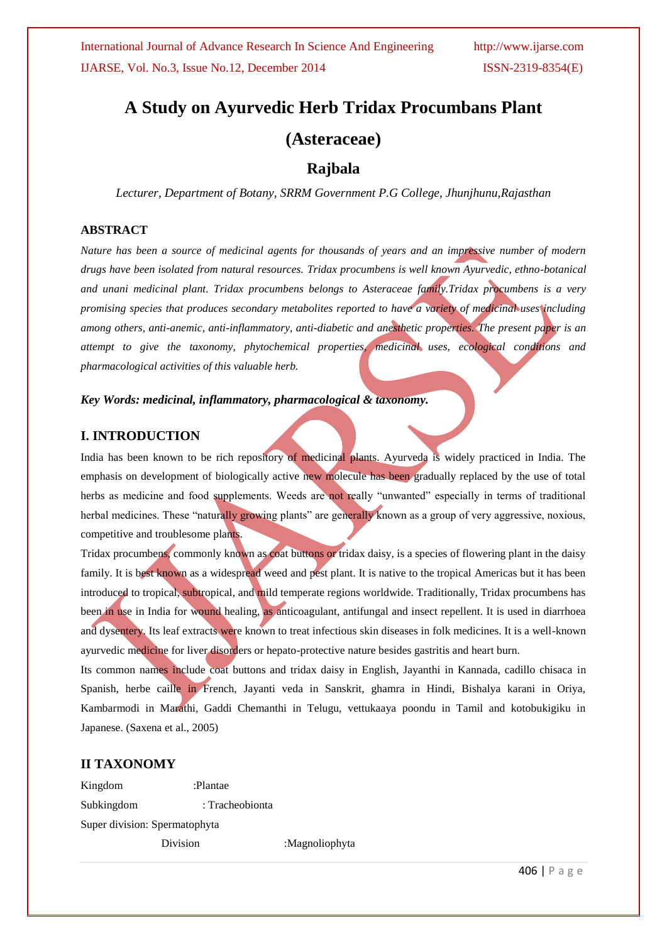# **A Study on Ayurvedic Herb Tridax Procumbans Plant (Asteraceae)**

# **Rajbala**

*Lecturer, Department of Botany, SRRM Government P.G College, Jhunjhunu,Rajasthan*

# **ABSTRACT**

*Nature has been a source of medicinal agents for thousands of years and an impressive number of modern drugs have been isolated from natural resources. Tridax procumbens is well known Ayurvedic, ethno-botanical and unani medicinal plant. Tridax procumbens belongs to Asteraceae family.Tridax procumbens is a very promising species that produces secondary metabolites reported to have a variety of medicinal uses including among others, anti-anemic, anti-inflammatory, anti-diabetic and anesthetic properties. The present paper is an attempt to give the taxonomy, phytochemical properties, medicinal uses, ecological conditions and pharmacological activities of this valuable herb.*

# *Key Words: medicinal, inflammatory, pharmacological & taxonomy.*

# **I. INTRODUCTION**

India has been known to be rich repository of medicinal plants. Ayurveda is widely practiced in India. The emphasis on development of biologically active new molecule has been gradually replaced by the use of total herbs as medicine and food supplements. Weeds are not really "unwanted" especially in terms of traditional herbal medicines. These "naturally growing plants" are generally known as a group of very aggressive, noxious, competitive and troublesome plants.

Tridax procumbens, commonly known as coat buttons or tridax daisy, is a species of flowering plant in the daisy family. It is best known as a widespread weed and pest plant. It is native to the tropical Americas but it has been introduced to tropical, subtropical, and mild temperate regions worldwide. Traditionally, Tridax procumbens has been in use in India for wound healing, as anticoagulant, antifungal and insect repellent. It is used in diarrhoea and dysentery. Its leaf extracts were known to treat infectious skin diseases in folk medicines. It is a well-known ayurvedic medicine for liver disorders or hepato-protective nature besides gastritis and heart burn.

Its common names include coat buttons and tridax daisy in English, Jayanthi in Kannada, cadillo chisaca in Spanish, herbe caille in French, Jayanti veda in Sanskrit, ghamra in Hindi, Bishalya karani in Oriya, Kambarmodi in Marathi, Gaddi Chemanthi in Telugu, vettukaaya poondu in Tamil and kotobukigiku in Japanese. (Saxena et al., 2005)

# **II TAXONOMY**

Kingdom :Plantae Subkingdom : Tracheobionta Super division: Spermatophyta Division :Magnoliophyta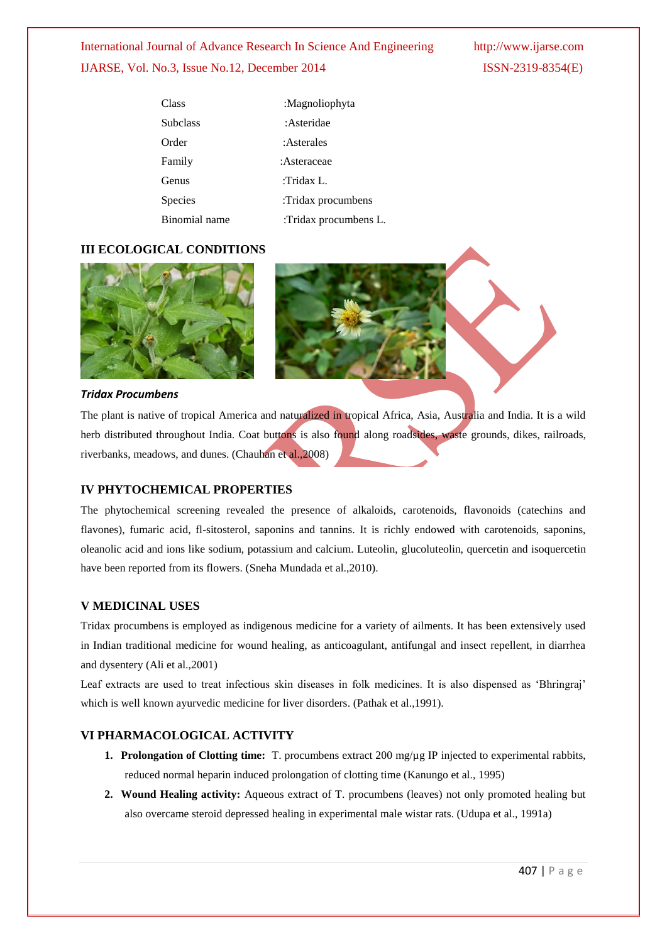# International Journal of Advance Research In Science And Engineering http://www.ijarse.com IJARSE, Vol. No.3, Issue No.12, December 2014 ISSN-2319-8354(E)

| Class           | :Magnoliophyta        |
|-----------------|-----------------------|
| <b>Subclass</b> | :Asteridae            |
| Order           | :Asterales            |
| Family          | : Asteraceae          |
| Genus           | :Tridax L             |
| Species         | :Tridax procumbens    |
| Rinomial name   | :Tridax procumbens L. |

# **III ECOLOGICAL CONDITIONS**



#### *Tridax Procumbens*

The plant is native of tropical America and naturalized in tropical Africa, Asia, Australia and India. It is a wild herb distributed throughout India. Coat buttons is also found along roadsides, waste grounds, dikes, railroads, riverbanks, meadows, and dunes. (Chauhan et al.,2008)

# **IV PHYTOCHEMICAL PROPERTIES**

The phytochemical screening revealed the presence of alkaloids, carotenoids, flavonoids (catechins and flavones), fumaric acid, fl-sitosterol, saponins and tannins. It is richly endowed with carotenoids, saponins, oleanolic acid and ions like sodium, potassium and calcium. Luteolin, glucoluteolin, quercetin and isoquercetin have been reported from its flowers. (Sneha Mundada et al.,2010).

### **V MEDICINAL USES**

Tridax procumbens is employed as indigenous medicine for a variety of ailments. It has been extensively used in Indian traditional medicine for wound healing, as anticoagulant, antifungal and insect repellent, in diarrhea and dysentery (Ali et al.,2001)

Leaf extracts are used to treat infectious skin diseases in folk medicines. It is also dispensed as "Bhringraj" which is well known ayurvedic medicine for liver disorders. (Pathak et al.,1991).

# **VI PHARMACOLOGICAL ACTIVITY**

- **1. Prolongation of Clotting time:** T. procumbens extract 200 mg/µg IP injected to experimental rabbits, reduced normal heparin induced prolongation of clotting time (Kanungo et al., 1995)
- **2. Wound Healing activity:** Aqueous extract of T. procumbens (leaves) not only promoted healing but also overcame steroid depressed healing in experimental male wistar rats. (Udupa et al., 1991a)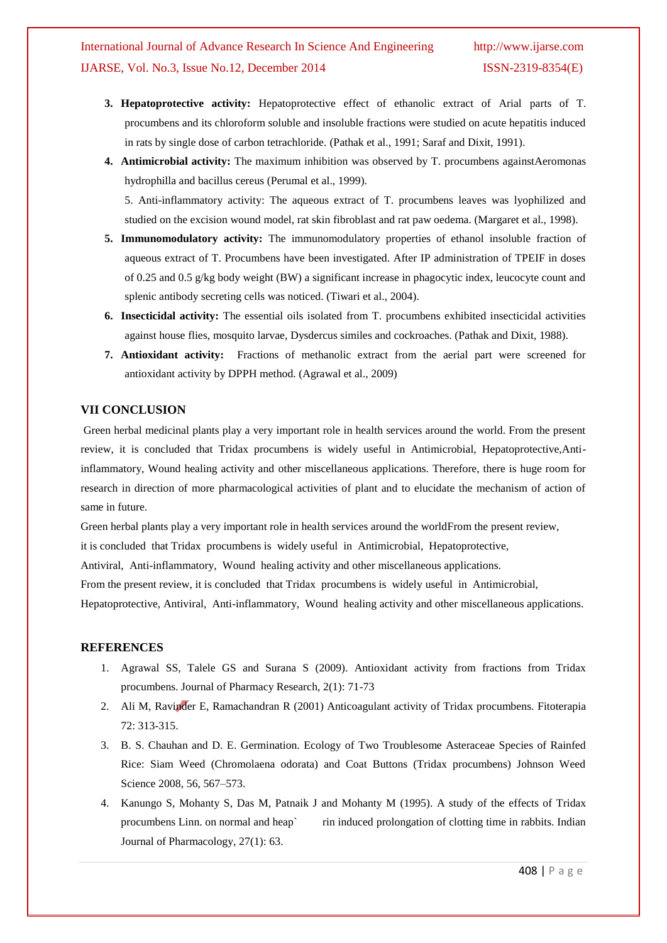- **3. Hepatoprotective activity:** Hepatoprotective effect of ethanolic extract of Arial parts of T. procumbens and its chloroform soluble and insoluble fractions were studied on acute hepatitis induced in rats by single dose of carbon tetrachloride. (Pathak et al., 1991; Saraf and Dixit, 1991).
- **4. Antimicrobial activity:** The maximum inhibition was observed by T. procumbens againstAeromonas hydrophilla and bacillus cereus (Perumal et al., 1999).

5. Anti-inflammatory activity: The aqueous extract of T. procumbens leaves was lyophilized and studied on the excision wound model, rat skin fibroblast and rat paw oedema. (Margaret et al., 1998).

- **5. Immunomodulatory activity:** The immunomodulatory properties of ethanol insoluble fraction of aqueous extract of T. Procumbens have been investigated. After IP administration of TPEIF in doses of 0.25 and 0.5 g/kg body weight (BW) a significant increase in phagocytic index, leucocyte count and splenic antibody secreting cells was noticed. (Tiwari et al., 2004).
- **6. Insecticidal activity:** The essential oils isolated from T. procumbens exhibited insecticidal activities against house flies, mosquito larvae, Dysdercus similes and cockroaches. (Pathak and Dixit, 1988).
- **7. Antioxidant activity:** Fractions of methanolic extract from the aerial part were screened for antioxidant activity by DPPH method. (Agrawal et al., 2009)

### **VII CONCLUSION**

Green herbal medicinal plants play a very important role in health services around the world. From the present review, it is concluded that Tridax procumbens is widely useful in Antimicrobial, Hepatoprotective,Antiinflammatory, Wound healing activity and other miscellaneous applications. Therefore, there is huge room for research in direction of more pharmacological activities of plant and to elucidate the mechanism of action of same in future.

Green herbal plants play a very important role in health services around the worldFrom the present review,

it is concluded that Tridax procumbens is widely useful in Antimicrobial, Hepatoprotective,

Antiviral, Anti-inflammatory, Wound healing activity and other miscellaneous applications.

From the present review, it is concluded that Tridax procumbens is widely useful in Antimicrobial,

Hepatoprotective, Antiviral, Anti-inflammatory, Wound healing activity and other miscellaneous applications.

### **REFERENCES**

- 1. Agrawal SS, Talele GS and Surana S (2009). Antioxidant activity from fractions from Tridax procumbens. Journal of Pharmacy Research, 2(1): 71-73
- 2. Ali M, Ravinder E, Ramachandran R (2001) Anticoagulant activity of Tridax procumbens. Fitoterapia 72: 313-315.
- 3. B. S. Chauhan and D. E. Germination. Ecology of Two Troublesome Asteraceae Species of Rainfed Rice: Siam Weed (Chromolaena odorata) and Coat Buttons (Tridax procumbens) Johnson Weed Science 2008, 56, 567–573.
- 4. Kanungo S, Mohanty S, Das M, Patnaik J and Mohanty M (1995). A study of the effects of Tridax procumbens Linn. on normal and heap` rin induced prolongation of clotting time in rabbits. Indian Journal of Pharmacology, 27(1): 63.